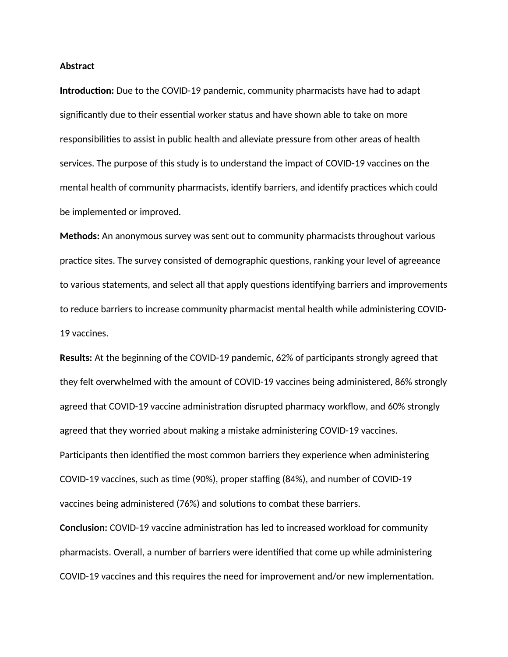## **Abstract**

**Introduction:** Due to the COVID-19 pandemic, community pharmacists have had to adapt significantly due to their essential worker status and have shown able to take on more responsibilities to assist in public health and alleviate pressure from other areas of health services. The purpose of this study is to understand the impact of COVID-19 vaccines on the mental health of community pharmacists, identify barriers, and identify practices which could be implemented or improved.

**Methods:** An anonymous survey was sent out to community pharmacists throughout various practice sites. The survey consisted of demographic questions, ranking your level of agreeance to various statements, and select all that apply questions identifying barriers and improvements to reduce barriers to increase community pharmacist mental health while administering COVID-19 vaccines.

**Results:** At the beginning of the COVID-19 pandemic, 62% of participants strongly agreed that they felt overwhelmed with the amount of COVID-19 vaccines being administered, 86% strongly agreed that COVID-19 vaccine administration disrupted pharmacy workflow, and 60% strongly agreed that they worried about making a mistake administering COVID-19 vaccines. Participants then identified the most common barriers they experience when administering COVID-19 vaccines, such as time (90%), proper staffing (84%), and number of COVID-19 vaccines being administered (76%) and solutions to combat these barriers.

**Conclusion:** COVID-19 vaccine administration has led to increased workload for community pharmacists. Overall, a number of barriers were identified that come up while administering COVID-19 vaccines and this requires the need for improvement and/or new implementation.